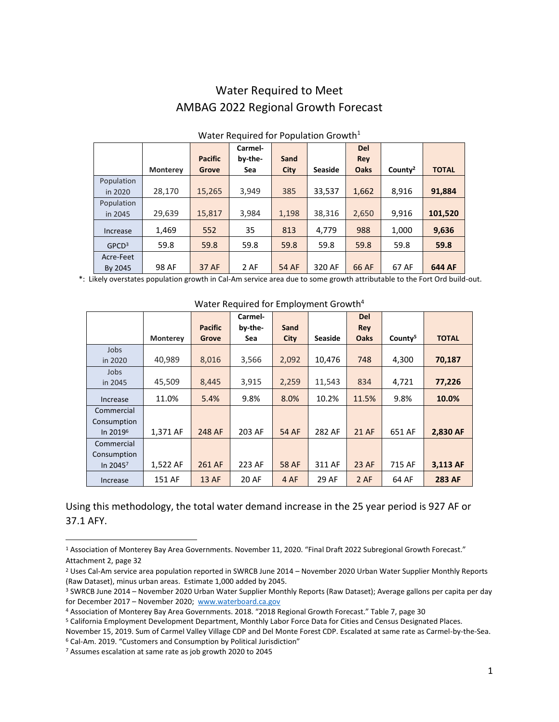## Water Required to Meet AMBAG 2022 Regional Growth Forecast

|                   |                 |                                 | Carmel- |              |                | <b>Del</b>  |                     |              |  |  |
|-------------------|-----------------|---------------------------------|---------|--------------|----------------|-------------|---------------------|--------------|--|--|
|                   |                 | <b>Pacific</b>                  | by-the- | Sand         |                | Rey         |                     |              |  |  |
|                   | <b>Monterey</b> | Grove                           | Sea     | <b>City</b>  | <b>Seaside</b> | <b>Oaks</b> | County <sup>2</sup> | <b>TOTAL</b> |  |  |
| Population        |                 |                                 |         |              |                |             |                     |              |  |  |
| in 2020           | 28,170          | 15,265                          | 3,949   | 385          | 33,537         | 1,662       | 8,916               | 91,884       |  |  |
| Population        |                 |                                 |         |              |                |             |                     |              |  |  |
| in 2045           | 29,639          | 15,817                          | 3,984   | 1,198        | 38,316         | 2,650       | 9,916               | 101,520      |  |  |
| Increase          | 1,469           | 552                             | 35      | 813          | 4,779          | 988         | 1,000               | 9,636        |  |  |
| GPCD <sup>3</sup> | 59.8            | 59.8                            | 59.8    | 59.8         | 59.8           | 59.8        | 59.8                | 59.8         |  |  |
| Acre-Feet         |                 |                                 |         |              |                |             |                     |              |  |  |
| By 2045           | 98 AF           | 37 AF                           | 2 AF    | <b>54 AF</b> | 320 AF         | 66 AF       | 67 AF               | 644 AF       |  |  |
| $\cdots$          | .               | $\mathbf{1}$ , and $\mathbf{1}$ |         |              |                |             |                     |              |  |  |

## Water Required for Population Growth<sup>1</sup>

\*: Likely overstates population growth in Cal-Am service area due to some growth attributable to the Fort Ord build-out.

|                      |                 |                | Carmel- |              |                | <b>Del</b>   |                     |               |
|----------------------|-----------------|----------------|---------|--------------|----------------|--------------|---------------------|---------------|
|                      |                 | <b>Pacific</b> | by-the- | Sand         |                | <b>Rey</b>   |                     |               |
|                      | <b>Monterey</b> | Grove          | Sea     | <b>City</b>  | <b>Seaside</b> | <b>Oaks</b>  | County <sup>5</sup> | <b>TOTAL</b>  |
| Jobs                 |                 |                |         |              |                |              |                     |               |
| in 2020              | 40,989          | 8,016          | 3,566   | 2,092        | 10,476         | 748          | 4,300               | 70,187        |
| Jobs                 |                 |                |         |              |                |              |                     |               |
| in 2045              | 45,509          | 8,445          | 3,915   | 2,259        | 11,543         | 834          | 4,721               | 77,226        |
| Increase             | 11.0%           | 5.4%           | 9.8%    | 8.0%         | 10.2%          | 11.5%        | 9.8%                | 10.0%         |
| Commercial           |                 |                |         |              |                |              |                     |               |
| Consumption          |                 |                |         |              |                |              |                     |               |
| In 2019 <sup>6</sup> | 1,371 AF        | 248 AF         | 203 AF  | <b>54 AF</b> | 282 AF         | <b>21 AF</b> | 651 AF              | 2,830 AF      |
| Commercial           |                 |                |         |              |                |              |                     |               |
| Consumption          |                 |                |         |              |                |              |                     |               |
| In $2045^7$          | 1,522 AF        | 261 AF         | 223 AF  | <b>58 AF</b> | 311 AF         | 23 AF        | 715 AF              | 3,113 AF      |
| Increase             | 151 AF          | 13 AF          | 20 AF   | 4 AF         | 29 AF          | 2 AF         | 64 AF               | <b>283 AF</b> |

## Water Required for Employment Growth<sup>4</sup>

Using this methodology, the total water demand increase in the 25 year period is 927 AF or 37.1 AFY.

<sup>1</sup> Association of Monterey Bay Area Governments. November 11, 2020. "Final Draft 2022 Subregional Growth Forecast." Attachment 2, page 32

<sup>2</sup> Uses Cal-Am service area population reported in SWRCB June 2014 – November 2020 Urban Water Supplier Monthly Reports (Raw Dataset), minus urban areas. Estimate 1,000 added by 2045.

<sup>3</sup> SWRCB June 2014 – November 2020 Urban Water Supplier Monthly Reports (Raw Dataset); Average gallons per capita per day for December 2017 – November 2020; [www.waterboard.ca.gov](http://www.waterboard.ca.gov/)

<sup>4</sup> Association of Monterey Bay Area Governments. 2018. "2018 Regional Growth Forecast." Table 7, page 30

<sup>5</sup> California Employment Development Department, Monthly Labor Force Data for Cities and Census Designated Places.

November 15, 2019. Sum of Carmel Valley Village CDP and Del Monte Forest CDP. Escalated at same rate as Carmel-by-the-Sea. <sup>6</sup> Cal-Am. 2019. "Customers and Consumption by Political Jurisdiction"

<sup>7</sup> Assumes escalation at same rate as job growth 2020 to 2045